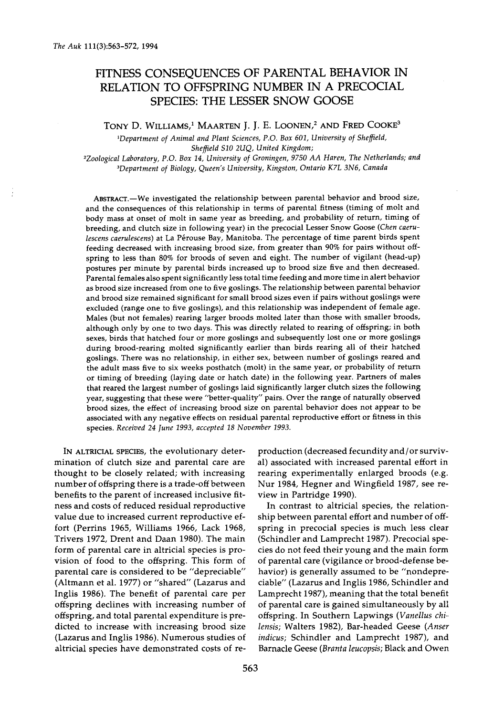# **FITNESS CONSEQUENCES OF PARENTAL BEHAVIOR IN RELATION TO OFFSPRING NUMBER IN A PRECOCIAL SPECIES: THE LESSER SNOW GOOSE**

# TONY D. WILLIAMS,<sup>1</sup> MAARTEN J. J. E. LOONEN,<sup>2</sup> AND FRED COOKE<sup>3</sup>

<sup>1</sup>Department of Animal and Plant Sciences, P.O. Box 601, University of Sheffield, **Sheffield S10 2UQ, United Kingdom;** 

<sup>2</sup>Zoological Laboratory, P.O. Box 14, University of Groningen, 9750 AA Haren, The Netherlands; and **3Department of Biology, Queen's University, Kingston, Ontario K7L 3N6, Canada** 

**ABSTRACT.--We investigated the relationship between parental behavior and brood size, and the consequences of this relationship in terms of parental fitness (timing of molt and body mass at onset of molt in same year as breeding, and probability of return, timing of breeding, and clutch size in following year) in the precocial Lesser Snow Goose (Chen caeru**lescens caerulescens) at La Pérouse Bay, Manitoba. The percentage of time parent birds spent **feeding decreased with increasing brood size, from greater than 90% for pairs without offspring to less than 80% for broods of seven and eight. The number of vigilant (head-up) postures per minute by parental birds increased up to brood size five and then decreased. Parental females also spent significantly less total time feeding and more time in alert behavior as brood size increased from one to five goslings. The relationship between parental behavior and brood size remained significant for small brood sizes even if pairs without goslings were excluded (range one to five goslings), and this relationship was independent of female age. Males (but not females) rearing larger broods molted later than those with smaller broods, although only by one to two days. This was directly related to rearing of offspring; in both sexes, birds that hatched four or more goslings and subsequently lost one or more goslings during brood-rearing molted significantly earlier than birds rearing all of their hatched**  goslings. There was no relationship, in either sex, between number of goslings reared and **the adult mass five to six weeks posthatch (molt) in the same year, or probability of return or timing of breeding (laying date or hatch date) in the following year. Partners of males**  that reared the largest number of goslings laid significantly larger clutch sizes the following **year, suggesting that these were "better-quality" pairs. Over the range of naturally observed brood sizes, the effect of increasing brood size on parental behavior does not appear to be associated with any negative effects on residual parental reproductive effort or fitness in this species. Received 24 June 1993, accepted 18 November 1993.** 

**IN ALTRICIAL SPECIES, the evolutionary determination of clutch size and parental care are thought to be closely related; with increasing number of offspring there is a trade-off between benefits to the parent of increased inclusive fitness and costs of reduced residual reproductive value due to increased current reproductive effort (Perrins 1965, Williams 1966, Lack 1968, Trivers 1972, Drent and Daan 1980). The main form of parental care in altricial species is provision of food to the offspring. This form of parental care is considered to be "depreciable" (Altmann et al. 1977) or "shared" (Lazarus and Inglis 1986). The benefit of parental care per offspring declines with increasing number of offspring, and total parental expenditure is predicted to increase with increasing brood size (Lazarus and Inglis 1986). Numerous studies of altricial species have demonstrated costs of re-**

**production (decreased fecundity and/or survival) associated with increased parental effort in rearing experimentally enlarged broods (e.g. Nur 1984, Hegner and Wingfield 1987, see review in Partridge 1990).** 

**In contrast to altricial species, the relationship between parental effort and number of offspring in precocial species is much less clear (Schindler and Lamprecht 1987). Precocial species do not feed their young and the main form of parental care (vigilance or brood-defense behavior) is generally assumed to be "nondepreciable" (Lazarus and Inglis 1986, Schindler and Lamprecht 1987), meaning that the total benefit of parental care is gained simultaneously by all offspring. In Southern Lapwings (Vanellus chilensis; Walters 1982), Bar-headed Geese (Anser indicus; Schindler and Lamprecht 1987), and Barnacle Geese (Branta leucopsis; Black and Owen**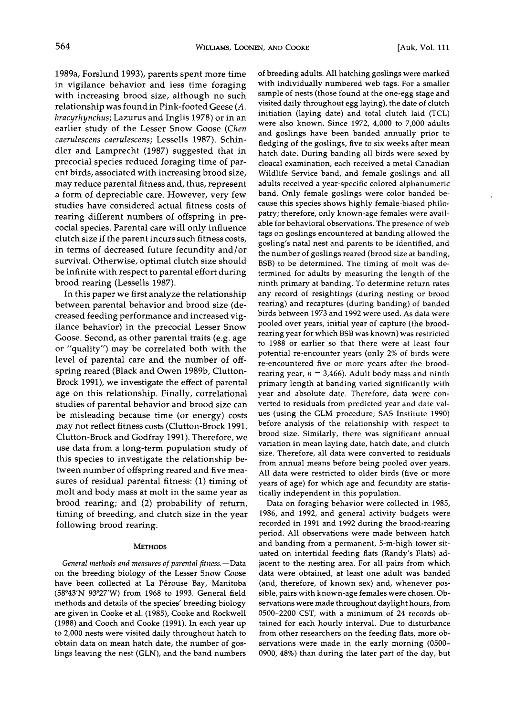**1989a, Forslund 1993), parents spent more time in vigilance behavior and less time foraging with increasing brood size, although no such relationship was found in Pink-footed Geese (A. bracyrhynchus; Lazurus and Inglis 1978) or in an earlier study of the Lesser Snow Goose (Chen caerulescens caerulescens; Lessells 1987). Schindler and Lamprecht (1987) suggested that in precocial species reduced foraging time of parent birds, associated with increasing brood size, may reduce parental fitness and, thus, represent a form of depreciable care. However, very few studies have considered actual fitness costs of rearing different numbers of offspring in precocial species. Parental care will only influence clutch size if the parent incurs such fitness costs, in terms of decreased future fecundity and/or survival. Otherwise, optimal clutch size should be infinite with respect to parental effort during brood rearing (Lessells 1987).** 

**In this paper we first analyze the relationship between parental behavior and brood size (decreased feeding performance and increased vigilance behavior) in the precocial Lesser Snow Goose. Second, as other parental traits (e.g. age or "quality") may be correlated both with the level of parental care and the number of offspring reared (Black and Owen 1989b, Clutton-Brock 1991), we investigate the effect of parental age on this relationship. Finally, correlational studies of parental behavior and brood size can be misleading because time (or energy) costs may not reflect fitness costs (Clutton-Brock 1991, Clutton-Brock and Godfray 1991). Therefore, we use data from a long-term population study of this species to investigate the relationship between number of offspring reared and five measures of residual parental fitness: (1) timing of molt and body mass at molt in the same year as brood rearing; and (2) probability of return, timing of breeding, and clutch size in the year following brood rearing.** 

## **METHODS**

General methods and measures of parental fitness.-Data **on the breeding biology of the Lesser Snow Goose**  have been collected at La Pérouse Bay, Manitoba **(58ø43'N 93ø27'W) from 1968 to 1993. General field methods and details of the species' breeding biology are given in Cooke et al. (1985), Cooke and Rockwell (1988) and Cooch and Cooke (1991). In each year up to 2,000 nests were visited daily throughout hatch to obtain data on mean hatch date, the number of goslings leaving the nest (GLN), and the band numbers**  **of breeding adults. All hatching goslings were marked with individually numbered web tags. For a smaller sample of nests (those found at the one-egg stage and visited daily throughout egg laying), the date of clutch initiation (laying date) and total clutch laid (TCL) were also known. Since 1972, 4,000 to 7,000 adults and goslings have been banded annually prior to fledging of the goslings, five to six weeks after mean hatch date. During banding all birds were sexed by cloacal examination, each received a metal Canadian Wildlife Service band, and female goslings and all adults received a year-specific colored alphanumeric band. Only female goslings were color banded because this species shows highly female-biased philopatty; therefore, only known-age females were available for behavioral observations. The presence of web tags on goslings encountered at banding allowed the gosling's natal nest and parents to be identified, and the number of goslings reared (brood size at banding, BSB) to be determined. The timing of molt was determined for adults by measuring the length of the ninth primary at banding. To determine return rates any record of resightings (during nesting or brood rearing) and recaptures (during banding) of banded birds between 1973 and 1992 were used. As data were pooled over years, initial year of capture (the broodrearing year for which BSB was known) was restricted to 1988 or earlier so that there were at least four potential re-encounter years (only 2% of birds were re-encountered five or more years after the broodrearing year,**  $n = 3,466$ **. Adult body mass and ninth primary length at banding varied significantly with year and absolute date. Therefore, data were converted to residuals from predicted year and date values (using the GLM procedure; SAS Institute 1990) before analysis of the relationship with respect to brood size. Similarly, there was significant annual variation in mean laying date, hatch date, and clutch size. Therefore, all data were converted to residuals from annual means before being pooled over years. All data were restricted to older birds (five or more years of age) for which age and fecundity are statistically independent in this population.** 

**Data on foraging behavior were collected in 1985, 1986, and 1992, and general activity budgets were recorded in 1991 and 1992 during the brood-rearing period. All observations were made between hatch and banding from a permanent, 5-m-high tower situated on intertidal feeding flats (Randy's Fiats) adjacent to the nesting area. For all pairs from which data were obtained, at least one adult was banded (and, therefore, of known sex) and, whenever possible, pairs with known-age females were chosen. Observations were made throughout daylight hours, from 0500-2200 CST, with a minimum of 24 records obtained for each hourly interval. Due to disturbance from other researchers on the feeding flats, more observations were made in the early morning (0500- 0900, 48%) than during the later part of the day, but**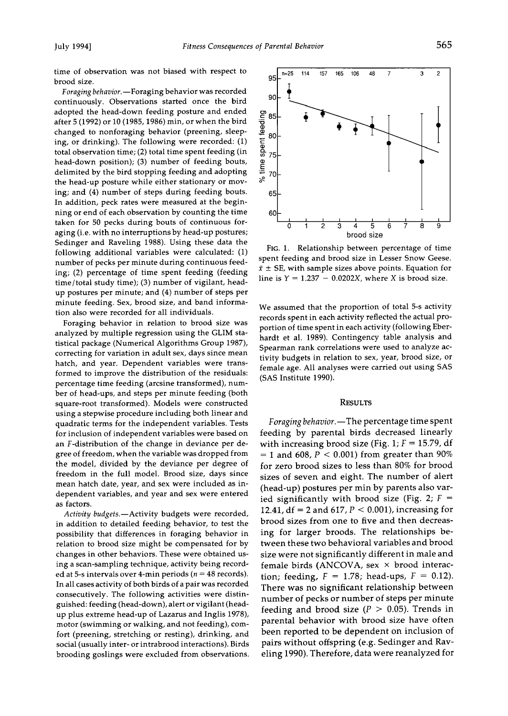**time of observation was not biased with respect to brood size.** 

Foraging behavior.-Foraging behavior was recorded **continuously. Observations started once the bird adopted the head-down feeding posture and ended after 5 (1992) or 10 (1985, 1986) min, or when the bird changed to nonforaging behavior (preening, sleeping, or drinking). The following were recorded: (1) total observation time; (2) total time spent feeding (in head-down position); (3) number of feeding bouts, delimited by the bird stopping feeding and adopting the head-up posture while either stationary or moving; and (4) number of steps during feeding bouts. In addition, peck rates were measured at the beginning or end of each observation by counting the time taken for 50 pecks during bouts of continuous foraging (i.e. with no interruptions by head-up postures; Sedinger and Raveling 1988). Using these data the following additional variables were calculated: (1) number of pecks per minute during continuous feeding; (2) percentage of time spent feeding (feeding time/total study time); (3) number of vigilant, headup postures per minute; and (4) number of steps per minute feeding. Sex, brood size, and band information also were recorded for all individuals.** 

**Foraging behavior in relation to brood size was analyzed by multiple regression using the GLIM statistical package (Numerical Algorithms Group 1987), correcting for variation in adult sex, days since mean hatch, and year. Dependent variables were transformed to improve the distribution of the residuals: percentage time feeding (arcsine transformed), number of head-ups, and steps per minute feeding (both square-root transformed). Models were constructed using a stepwise procedure including both linear and quadratic terms for the independent variables. Tests for inclusion of independent variables were based on an F-distribution of the change in deviance per degree of freedom, when the variable was dropped from the model, divided by the deviance per degree of freedom in the full model. Brood size, days since mean hatch date, year, and sex were included as independent variables, and year and sex were entered as factors.** 

Activity budgets.--Activity budgets were recorded, **in addition to detailed feeding behavior, to test the possibility that differences in foraging behavior in relation to brood size might be compensated for by changes in other behaviors. These were obtained using a scan-sampling technique, activity being record**ed at 5-s intervals over 4-min periods ( $n = 48$  records). **In all cases activity of both birds of a pair was recorded consecutively. The following activities were distinguished: feeding (head-down), alert or vigilant (headup plus extreme head-up of Lazarus and Inglis 1978), motor (swimming or walking, and not feeding), comfort (preening, stretching or resting), drinking, and social (usually inter- or intrabrood interactions). Birds brooding goslings were excluded from observations.** 



**FIG. l. Relationship between percentage of time spent feeding and brood size in Lesser Snow Geese.**   $\bar{x} \pm \text{SE}$ , with sample sizes above points. Equation for line is  $Y = 1.237 - 0.0202X$ , where X is brood size.

**We assumed that the proportion of total 5-s activity records spent in each activity reflected the actual proportion of time spent in each activity (following Eber**hardt et al. 1989). Contingency table analysis and **Spearman rank correlations were used to analyze activity budgets in relation to sex, year, brood size, or female age. All analyses were carried out using SAS (SAS Institute 1990).** 

# **RESULTS**

Foraging behavior.-The percentage time spent **feeding by parental birds decreased linearly**  with increasing brood size (Fig.  $1; F = 15.79$ , df **= 1 and 608, P < 0.001) from greater than 90% for zero brood sizes to less than 80% for brood sizes of seven and eight. The number of alert (head-up) postures per min by parents also varied significantly with brood size (Fig. 2; F = 12.41, df = 2 and 617, P < 0.001), increasing for brood sizes from one to five and then decreasing for larger broods. The relationships between these two behavioral variables and brood size were not significantly different in male and female birds (ANCOVA, sex x brood interac**tion; feeding,  $F = 1.78$ ; head-ups,  $F = 0.12$ ). **There was no significant relationship between number of pecks or number of steps per minute**  feeding and brood size ( $P > 0.05$ ). Trends in **parental behavior with brood size have often been reported to be dependent on inclusion of pairs without offspring (e.g. Sedinger and Raveling 1990). Therefore, data were reanalyzed for**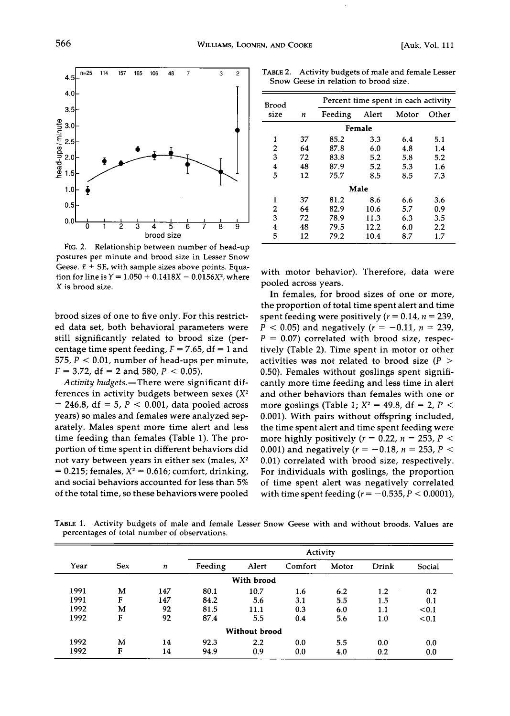

**F•G. 2. Relationship between number of head-up postures per minute and brood size in Lesser Snow**  Geese.  $\bar{x} \pm \text{SE}$ , with sample sizes above points. Equation for line is  $Y = 1.050 + 0.1418X - 0.0156X^2$ , where **X is brood size.** 

**brood sizes of one to five only. For this restricted data set, both behavioral parameters were still significantly related to brood size (percentage time spent feeding, F = 7.65, df = 1 and 575, P < 0.01, number of head-ups per minute,**   $F = 3.72$ , df = 2 and 580,  $P < 0.05$ ).

Activity budgets.-There were significant differences in activity budgets between sexes  $(X^2)$ **= 246.8, df = 5, P < 0.001, data pooled across years) so males and females were analyzed separately. Males spent more time alert and less time feeding than females (Table 1). The proportion of time spent in different behaviors did**  not vary between years in either sex (males,  $X^2$  $= 0.215$ ; females,  $X^2 = 0.616$ ; comfort, drinking, **and social behaviors accounted for less than 5% of the total time, so these behaviors were pooled** 

**TABLE 2. Activity budgets of male and female Lesser Snow Geese in relation to brood size.** 

| Brood  |    | Percent time spent in each activity |      |       |       |  |  |  |
|--------|----|-------------------------------------|------|-------|-------|--|--|--|
| size   | n  | Alert<br>Feeding                    |      | Motor | Other |  |  |  |
| Female |    |                                     |      |       |       |  |  |  |
| 1      | 37 | 85.2                                | 3.3  | 6.4   | 5.1   |  |  |  |
| 2      | 64 | 87.8                                | 6.0  | 4.8   | 1.4   |  |  |  |
| 3      | 72 | 83.8                                | 5.2  | 5.8   | 5.2   |  |  |  |
| 4      | 48 | 87.9                                | 5.2  | 5.3   | 1.6   |  |  |  |
| 5      | 12 | 75.7                                | 8.5  | 8.5   | 7.3   |  |  |  |
| Male   |    |                                     |      |       |       |  |  |  |
| 1      | 37 | 81.2                                | 8.6  | 6.6   | 3.6   |  |  |  |
| 2      | 64 | 82.9                                | 10.6 | 5.7   | 0.9   |  |  |  |
| 3      | 72 | 78.9                                | 11.3 | 6.3   | 3.5   |  |  |  |
| 4      | 48 | 79.5                                | 12.2 | 6.0   | 2.2   |  |  |  |
| 5      | 12 | 79.2                                | 10.4 | 8.7   | 1.7   |  |  |  |

**with motor behavior). Therefore, data were pooled across years.** 

**In females, for brood sizes of one or more, the proportion of total time spent alert and time**  spent feeding were positively  $(r = 0.14, n = 239)$ ,  $P < 0.05$ ) and negatively ( $r = -0.11$ ,  $n = 239$ , **P = 0.07) correlated with brood size, respectively (Table 2). Time spent in motor or other activities was not related to brood size (P > 0.50). Females without goslings spent significantly more time feeding and less time in alert and other behaviors than females with one or**  more goslings (Table 1;  $X^2 = 49.8$ , df = 2, P < **0.001). With pairs without offspring included, the time spent alert and time spent feeding were**  more highly positively ( $r = 0.22$ ,  $n = 253$ ,  $P <$ 0.001) and negatively ( $r = -0.18$ ,  $n = 253$ ,  $P <$ **0.01) correlated with brood size, respectively. For individuals with goslings, the proportion of time spent alert was negatively correlated**  with time spent feeding ( $r = -0.535$ ,  $P < 0.0001$ ),

**TABLE 1. Activity budgets of male and female Lesser Snow Geese with and without broods. Values are percentages of total number of observations.** 

|               |     |                  | Activity |       |         |       |       |        |
|---------------|-----|------------------|----------|-------|---------|-------|-------|--------|
| Year          | Sex | $\boldsymbol{n}$ | Feeding  | Alert | Comfort | Motor | Drink | Social |
| With brood    |     |                  |          |       |         |       |       |        |
| 1991          | M   | 147              | 80.1     | 10.7  | 1.6     | 6.2   | 1.2   | 0.2    |
| 1991          | F   | 147              | 84.2     | 5.6   | 3.1     | 5.5   | 1.5   | 0.1    |
| 1992          | M   | 92               | 81.5     | 11.1  | 0.3     | 6.0   | 1.1   | < 0.1  |
| 1992          | F   | 92               | 87.4     | 5.5   | 0.4     | 5.6   | 1.0   | < 0.1  |
| Without brood |     |                  |          |       |         |       |       |        |
| 1992          | M   | 14               | 92.3     | 2.2   | 0.0     | 5.5   | 0.0   | 0.0    |
| 1992          | F   | 14               | 94.9     | 0.9   | 0.0     | 4.0   | 0.2   | 0.0    |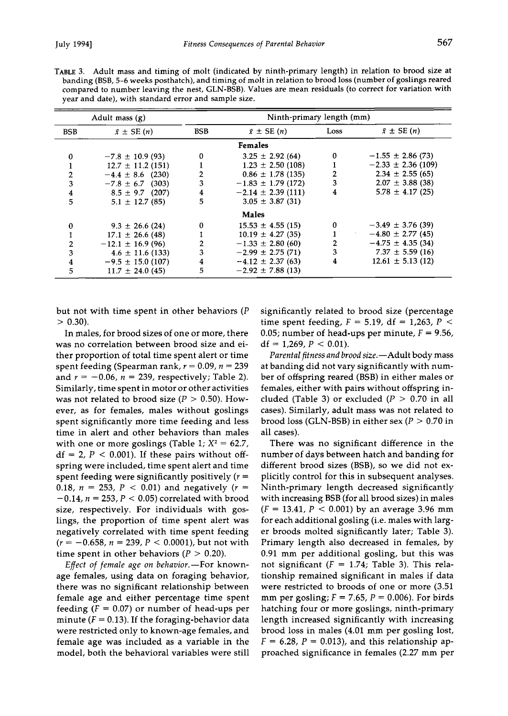**TABLE 3. Adult mass and timing of molt (indicated by ninth-primary length) in relation to brood size at banding (BSB, 5-6 weeks posthatch), and timing of molt in relation to brood loss (number of goslings reared compared to number leaving the nest, GLN-BSB). Values are mean residuals (to correct for variation with year and date), with standard error and sample size.** 

| Adult mass $(g)$ |                            | Ninth-primary length (mm) |                            |      |                            |  |
|------------------|----------------------------|---------------------------|----------------------------|------|----------------------------|--|
| <b>BSB</b>       | $\bar{x} \pm \text{SE}(n)$ | <b>BSB</b>                | $\bar{x} \pm \text{SE}(n)$ | Loss | $\bar{x} \pm \text{SE}(n)$ |  |
| <b>Females</b>   |                            |                           |                            |      |                            |  |
| $\bf{0}$         | $-7.8 \pm 10.9$ (93)       | 0                         | $3.25 \pm 2.92$ (64)       | 0    | $-1.55 \pm 2.86$ (73)      |  |
| 1                | $12.7 \pm 11.2$ (151)      |                           | $1.23 \pm 2.50$ (108)      |      | $-2.33 \pm 2.36$ (109)     |  |
| $\overline{2}$   | $-4.4 \pm 8.6$ (230)       | 2                         | $0.86 \pm 1.78$ (135)      | 2    | $2.34 \pm 2.55(65)$        |  |
| 3                | $-7.8 \pm 6.7$ (303)       | 3                         | $-1.83 \pm 1.79$ (172)     | 3    | $2.07 \pm 3.88$ (38)       |  |
| 4                | $8.5 \pm 9.7$ (207)        | 4                         | $-2.14 \pm 2.39$ (111)     | 4    | $5.78 \pm 4.17$ (25)       |  |
| 5                | $5.1 \pm 12.7$ (85)        | 5                         | $3.05 \pm 3.87$ (31)       |      |                            |  |
|                  |                            |                           | Males                      |      |                            |  |
| 0                | $9.3 \pm 26.6$ (24)        | 0                         | $15.53 \pm 4.55(15)$       | 0    | $-3.49 \pm 3.76$ (39)      |  |
| 1                | $17.1 \pm 26.6$ (48)       |                           | $10.19 \pm 4.27$ (35)      |      | $-4.80 \pm 2.77(45)$       |  |
| 2                | $-12.1 \pm 16.9$ (96)      |                           | $-1.33 \pm 2.80$ (60)      |      | $-4.75 \pm 4.35(34)$       |  |
| 3                | $4.6 \pm 11.6$ (133)       | 3                         | $-2.99 \pm 2.75(71)$       | 3    | $7.37 \pm 5.59$ (16)       |  |
| 4                | $-9.5 \pm 15.0$ (107)      | 4                         | $-4.12 \pm 2.37(63)$       | 4    | $12.61 \pm 5.13(12)$       |  |
| 5                | $11.7 \pm 24.0$ (45)       | 5                         | $-2.92 \pm 7.88$ (13)      |      |                            |  |

**but not with time spent in other behaviors (P**   $> 0.30$ .

**In males, for brood sizes of one or more, there was no correlation between brood size and either proportion of total time spent alert or time spent feeding (Spearman rank, r = 0.09, n = 239**  and  $r = -0.06$ ,  $n = 239$ , respectively; Table 2). **Similarly, time spent in motor or other activities**  was not related to brood size  $(P > 0.50)$ . How**ever, as for females, males without goslings spent significantly more time feeding and less time in alert and other behaviors than males**  with one or more goslings (Table 1;  $X^2 = 62.7$ ,  $df = 2$ ,  $P < 0.001$ ). If these pairs without off**spring were included, time spent alert and time spent feeding were significantly positively (r =**  0.18,  $n = 253$ ,  $P < 0.01$ ) and negatively ( $r =$ **-0.14, n = 253, P < 0.05) correlated with brood size, respectively. For individuals with goslings, the proportion of time spent alert was negatively correlated with time spent feeding**   $(r = -0.658, n = 239, P < 0.0001)$ , but not with time spent in other behaviors ( $P > 0.20$ ).

Effect of female age on behavior.**-For knownage females, using data on foraging behavior, there was no significant relationship between female age and either percentage time spent**  feeding  $(F = 0.07)$  or number of head-ups per minute  $(F = 0.13)$ . If the foraging-behavior data **were restricted only to known-age females, and female age was included as a variable in the model, both the behavioral variables were still** 

**significantly related to brood size (percentage**  time spent feeding,  $F = 5.19$ , df = 1,263,  $P <$ 0.05; number of head-ups per minute,  $F = 9.56$ ,  $df = 1,269, P < 0.01$ ).

Parental fitness and brood size.**-**Adult body mass **at banding did not vary significantly with number of offspring reared (BSB) in either males or females, either with pairs without offspring in**cluded (Table 3) or excluded  $(P > 0.70$  in all **cases). Similarly, adult mass was not related to brood loss (GLN-BSB) in either sex (P > 0.70 in all cases).** 

**There was no significant difference in the number of days between hatch and banding for different brood sizes (BSB), so we did not explicitly control for this in subsequent analyses. Ninth-primary length decreased significantly with increasing BSB (for all brood sizes) in males (F = 13.41, P < 0.001) by an average 3.96 mm for each additional gosling (i.e. males with larger broods molted significantly later; Table 3). Primary length also decreased in females, by 0.91 mm per additional gosling, but this was not significant (F = 1.74; Table 3). This relationship remained significant in males if data were restricted to broods of one or more (3.51**  mm per gosling;  $F = 7.65$ ,  $P = 0.006$ ). For birds **hatching four or more goslings, ninth-primary length increased significantly with increasing brood loss in males (4.01 mm per gosling lost,**   $F = 6.28$ ,  $P = 0.013$ ), and this relationship ap**proached significance in females (2.27 mm per**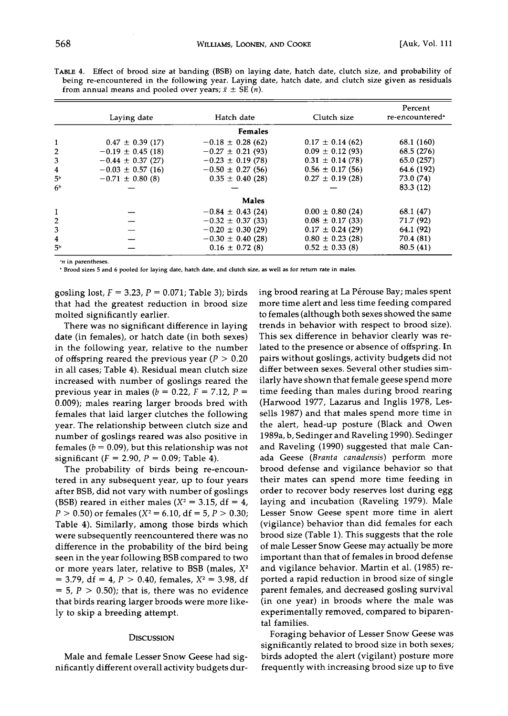**-- -- 83.3 (12)** 

|                | Laying date           | Hatch date            | Clutch size          | Percent<br>re-encountered <sup>®</sup> |
|----------------|-----------------------|-----------------------|----------------------|----------------------------------------|
|                |                       | <b>Females</b>        |                      |                                        |
| 1              | $0.47 \pm 0.39$ (17)  | $-0.18 \pm 0.28$ (62) | $0.17 \pm 0.14$ (62) | 68.1 (160)                             |
| $\overline{2}$ | $-0.19 \pm 0.45$ (18) | $-0.27 \pm 0.21$ (93) | $0.09 \pm 0.12$ (93) | 68.5 (276)                             |
| 3              | $-0.44 \pm 0.37$ (27) | $-0.23 \pm 0.19$ (78) | $0.31 \pm 0.14$ (78) | 65.0 (257)                             |
| $\overline{4}$ | $-0.03 \pm 0.57$ (16) | $-0.50 \pm 0.27$ (56) | $0.56 \pm 0.17(56)$  | 64.6 (192)                             |
| 5 <sup>b</sup> | $-0.71 \pm 0.80(8)$   | $0.35 \pm 0.40$ (28)  | $0.27 \pm 0.19$ (28) | 73.0 (74)                              |
|                |                       |                       |                      |                                        |

**Males** 

 $-0.84 \pm 0.43$  (24)  $-0.32 \pm 0.37$  (33)  $-0.08 \pm 0.17$  (33)  $-71.7$  (92)  $-0.32 \pm 0.37 \ (33)$   $0.08 \pm 0.17 \ (33)$   $71.7 \ (92)$ <br> $-0.20 \pm 0.30 \ (29)$   $0.17 \pm 0.24 \ (29)$   $64.1 \ (92)$  $-0.20 \pm 0.30$  (29)  $-0.30 \pm 0.40$  (28)  $-0.30 \pm 0.40$  (28)  $-0.80 \pm 0.23$  (28)  $-0.7 \pm 0.23$  (28)  $-0.4 \pm 0.23$  $-0.30 \pm 0.40$  (28)  $-0.80 \pm 0.23$  (28)  $-70.4$  (81)<br>  $0.16 \pm 0.72$  (8)  $-0.52 \pm 0.33$  (8)  $-80.5$  (41)  $0.52 \pm 0.33(8)$ 

**TABLE 4. Effect of brood size at banding (BSB) on laying date, hatch date, clutch size, and probability of being re-encountered in the following year. Laying date, hatch date, and clutch size given as residuals** 

**ß 'n in parentheses.** 

**6 b**  $-$ 

**Brood sizes 5 and 6 pooled for laying date, hatch date, and clutch size, as well as for return rate in males.** 

**gosling lost, F = 3.23, P = 0.071; Table 3); birds that had the greatest reduction in brood size molted significantly earlier.** 

**There was no significant difference in laying date (in females), or hatch date (in both sexes) in the following year, relative to the number of offspring reared the previous year (P > 0.20 in all cases; Table 4). Residual mean clutch size increased with number of goslings reared the previous year in males (** $b = 0.22$ **,**  $F = 7.12$ **,**  $P =$ **0.009); males rearing larger broods bred with females that laid larger clutches the following year. The relationship between clutch size and number of goslings reared was also positive in**  females  $(b = 0.09)$ , but this relationship was not **significant (F = 2.90, P = 0.09; Table 4).** 

**The probability of birds being re-encountered in any subsequent year, up to four years after BSB, did not vary with number of goslings**  (BSB) reared in either males  $(X^2 = 3.15, df = 4,$  $P > 0.50$ ) or females ( $X^2 = 6.10$ , df = 5,  $P > 0.30$ ; **Table 4). Similarly, among those birds which were subsequently reencountered there was no difference in the probability of the bird being seen in the year following BSB compared to two**  or more years later, relative to BSB (males,  $X^2$  $= 3.79$ , df  $= 4$ ,  $P > 0.40$ , females,  $X^2 = 3.98$ , df  $= 5, P > 0.50$ ; that is, there was no evidence **that birds rearing larger broods were more likely to skip a breeding attempt.** 

## **DISCUSSION**

**Male and female Lesser Snow Geese had significantly different overall activity budgets dur-** ing brood rearing at La Pérouse Bay; males spent **more time alert and less time feeding compared to females (although both sexes showed the same trends in behavior with respect to brood size). This sex difference in behavior clearly was related to the presence or absence of offspring. In pairs without goslings, activity budgets did not differ between sexes. Several other studies similarly have shown that female geese spend more time feeding than males during brood rearing (Harwood 1977, Lazarus and Inglis 1978, Lessells 1987) and that males spend more time in the alert, head-up posture (Black and Owen 1989a, b, Sedinger and Raveling 1990). Sedinger and Raveling (1990) suggested that male Canada Geese (Branta canadensis) perform more brood defense and vigilance behavior so that their mates can spend more time feeding in order to recover body reserves lost during egg laying and incubation (Raveling 1979). Male Lesser Snow Geese spent more time in alert (vigilance) behavior than did females for each brood size (Table 1). This suggests that the role of male Lesser Snow Geese may actually be more**  important than that of females in brood defense **and vigilance behavior. Martin et al. (1985) reported a rapid reduction in brood size of single parent females, and decreased gosling survival (in one year) in broods where the male was experimentally removed, compared to biparental families.** 

**Foraging behavior of Lesser Snow Geese was significantly related to brood size in both sexes; birds adopted the alert (vigilant) posture more frequently with increasing brood size up to five**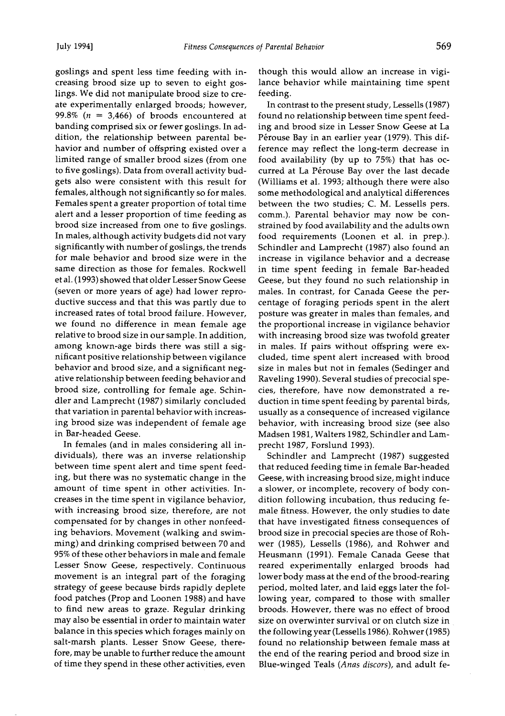**goslings and spent less time feeding with increasing brood size up to seven to eight goslings. We did not manipulate brood size to create experimentally enlarged broods; however, 99.8% (n = 3,466) of broods encountered at banding comprised six or fewer goslings. In addition, the relationship between parental behavior and number of offspring existed over a limited range of smaller brood sizes (from one to five goslings). Data from overall activity budgets also were consistent with this result for females, although not significantly so for males. Females spent a greater proportion of total time alert and a lesser proportion of time feeding as brood size increased from one to five goslings. In males, although activity budgets did not vary significantly with number of goslings, the trends for male behavior and brood size were in the same direction as those for females. Rockwell et al. (1993) showed that older Lesser Snow Geese (seven or more years of age) had lower reproductive success and that this was partly due to increased rates of total brood failure. However, we found no difference in mean female age relative to brood size in our sample. In addition, among known-age birds there was still a significant positive relationship between vigilance behavior and brood size, and a significant negative relationship between feeding behavior and brood size, controlling for female age. Schindler and Lamprecht (1987) similarly concluded that variation in parental behavior with increasing brood size was independent of female age in Bar-headed Geese.** 

**In females (and in males considering all individuals), there was an inverse relationship between time spent alert and time spent feed**ing, but there was no systematic change in the **amount of time spent in other activities. Increases in the time spent in vigilance behavior, with increasing brood size, therefore, are not compensated for by changes in other nonfeeding behaviors. Movement (walking and swimming) and drinking comprised between 70 and 95% of these other behaviors in male and female Lesser Snow Geese, respectively. Continuous movement is an integral part of the foraging strategy of geese because birds rapidly deplete food patches (Prop and Loonen 1988) and have to find new areas to graze. Regular drinking may also be essential in order to maintain water balance in this species which forages mainly on salt-marsh plants. Lesser Snow Geese, therefore, may be unable to further reduce the amount of time they spend in these other activities, even** 

**though this would allow an increase in vigilance behavior while maintaining time spent feeding.** 

In contrast to the present study, Lessells (1987) **found no relationship between time spent feeding and brood size in Lesser Snow Geese at La**  Pérouse Bay in an earlier year (1979). This dif**ference may reflect the long-term decrease in food availability (by up to 75%) that has oc**curred at La Pérouse Bay over the last decade **(Williams et al. 1993; although there were also some methodological and analytical differences between the two studies; C. M. Lessells pers. comm.). Parental behavior may now be constrained by food availability and the adults own food requirements (Loonen et al. in prep.). Schindler and Lamprecht (1987) also found an increase in vigilance behavior and a decrease in time spent feeding in female Bar-headed Geese, but they found no such relationship in males. In contrast, for Canada Geese the percentage of foraging periods spent in the alert posture was greater in males than females, and the proportional increase in vigilance behavior with increasing brood size was twofold greater in males. If pairs without offspring were excluded, time spent alert increased with brood size in males but not in females (Sedinger and Raveling 1990). Several studies of precocial species, therefore, have now demonstrated a reduction in time spent feeding by parental birds, usually as a consequence of increased vigilance behavior, with increasing brood size (see also Madsen 1981, Waiters 1982, Schindler and Lamprecht 1987, Forslund 1993).** 

**Schindler and Lamprecht (1987) suggested that reduced feeding time in female Bar-headed Geese, with increasing brood size, might induce a slower, or incomplete, recovery of body condition following incubation, thus reducing female fitness. However, the only studies to date that have investigated fitness consequences of brood size in precocial species are those of Roh~ wer (1985), Lessells (1986), and Rohwer and Heusmann (1991). Female Canada Geese that reared experimentally enlarged broods had lower body mass at the end of the brood-rearing period, molted later, and laid eggs later the following year, compared to those with smaller broods. However, there was no effect of brood size on overwinter survival or on clutch size in the following year (Lessells ! 986). Rohwer (1985) found no relationship between female mass at the end of the rearing period and brood size in Blue-winged Teals (Anas discors), and adult fe-**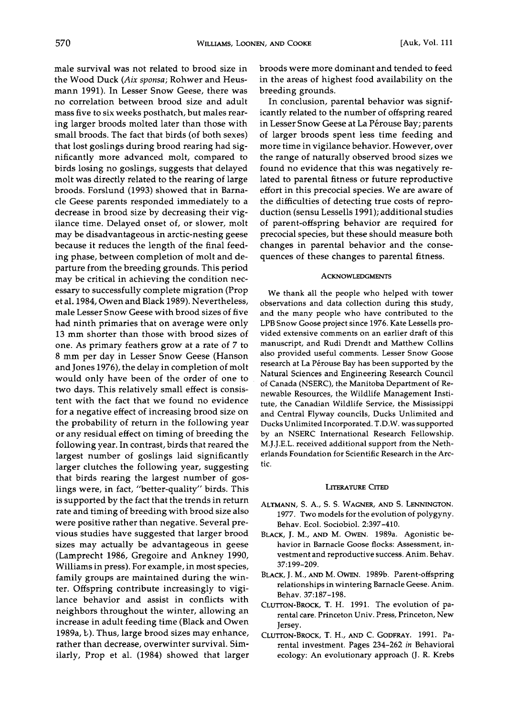**male survival was not related to brood size in the Wood Duck (Aix sponsa; Rohwer and Heusmann 1991). In Lesser Snow Geese, there was no correlation between brood size and adult mass five to six weeks posthatch, but males rearing larger broods molted later than those with small broods. The fact that birds (of both sexes) that lost goslings during brood rearing had significantly more advanced molt, compared to birds losing no goslings, suggests that delayed molt was directly related to the rearing of large broods. Forslund (1993) showed that in Barnacle Geese parents responded immediately to a decrease in brood size by decreasing their vigilance time. Delayed onset of, or slower, molt may be disadvantageous in arctic-nesting geese because it reduces the length of the final feeding phase, between completion of molt and departure from the breeding grounds. This period may be critical in achieving the condition necessary to successfully complete migration (Prop et al. 1984, Owen and Black 1989). Nevertheless, male Lesser Snow Geese with brood sizes of five had ninth primaries that on average were only 13 mm shorter than those with brood sizes of one. As primary feathers grow at a rate of 7 to 8 mm per day in Lesser Snow Geese (Hanson and Jones 1976), the delay in completion of molt would only have been of the order of one to two days. This relatively small effect is consistent with the fact that we found no evidence for a negative effect of increasing brood size on the probability of return in the following year or any residual effect on timing of breeding the following year. In contrast, birds that reared the largest number of goslings laid significantly larger clutches the following year, suggesting that birds rearing the largest number of goslings were, in fact, "better-quality" birds. This is supported by the fact that the trends in return rate and timing of breeding with brood size also were positive rather than negative. Several previous studies have suggested that larger brood sizes may actually be advantageous in geese (Lamprecht 1986, Gregoire and Ankney 1990, Williams in press). For example, in most species, family groups are maintained during the winter. Offspring contribute increasingly to vigilance behavior and assist in conflicts with neighbors throughout the winter, allowing an increase in adult feeding time (Black and Owen 1989a, b). Thus, large brood sizes may enhance, rather than decrease, overwinter survival. Similarly, Prop et al. (1984) showed that larger**  **broods were more dominant and tended to feed in the areas of highest food availability on the breeding grounds.** 

**In conclusion, parental behavior was significantly related to the number of offspring reared**  in Lesser Snow Geese at La Pérouse Bay; parents **of larger broods spent less time feeding and more time in vigilance behavior. However, over the range of naturally observed brood sizes we found no evidence that this was negatively related to parental fitness or future reproductive effort in this precocial species. We are aware of the difficulties of detecting true costs of reproduction (sensu Lessells 1991); additional studies of parent-offspring behavior are required for precocial species, but these should measure both changes in parental behavior and the consequences of these changes to parental fitness.** 

# **ACKNOWLEDGMENTS**

**We thank all the people who helped with tower observations and data collection during this study, and the many people who have contributed to the LPB Snow Goose project since 1976. Kate Lessells provided extensive comments on an earlier draft of this manuscript, and Rudi Drendt and Matthew Collins also provided useful comments. Lesser Snow Goose**  research at La Pérouse Bay has been supported by the **Natural Sciences and Engineering Research Council of Canada (NSERC), the Manitoba Department of Renewable Resources, the Wildlife Management Institute, the Canadian Wildlife Service, the Mississippi and Central Flyway councils, Ducks Unlimited and Ducks Unlimited Incorporated. T.D.W. was supported by an NSERC International Research Fellowship. M.J.J.E.L. received additional support from the Netherlands Foundation for Scientific Research in the Arctic.** 

#### **LITERATURE CITED**

- **ALTMANN, \$. A., \$. \$. WAGNER, AND \$. LENNINGTON. 1977. Two models for the evolution of polygyny. Behav. Ecol. Sociobiol. 2:397-410.**
- **BLACK, J. M., AND M. OwEN. 1989a. Agonistic behavior in Barnacle Goose flocks: Assessment, investment and reproductive success. Anim. Behav. 37:199-209.**
- **BLACK, J. M., AND M. OwEN. 1989b. Parent-offspring relationships in wintering Barnacle Geese. Anim. Behav. 37:187-198.**
- **CLUTTON-BROCK, T. H. 1991. The evolution of parental care. Princeton Univ. Press, Princeton, New Jersey.**
- **CLUTTON-BRocK, T. H., AND C. GODFRAY. 1991. Parental investment. Pages 234-262 in Behavioral ecology: An evolutionary approach (J. R. Krebs**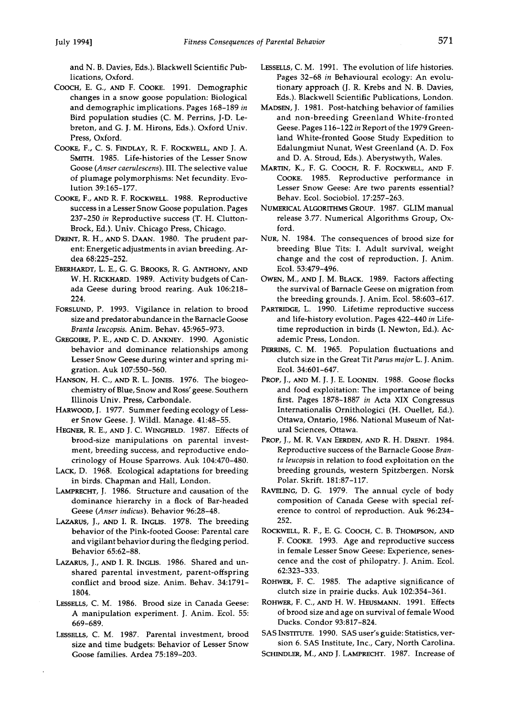**and N. B. Davies, Eds.). Blackwell Scientific Publications, Oxford.** 

- **COOCH, E.G., A•D F. COOKE. 1991. Demographic changes in a snow goose population: Biological and demographic implications. Pages 168-189 in Bird population studies (C. M. Perrins, J-D. Lebreton, and G. J. M. Hirons, Eds.). Oxford Univ. Press, Oxford.**
- **COOKE, F., C. S. FINDLAY, R. F. ROCKWELL, AND J. A. SMITH. 1985. Life-histories of the Lesser Snow Goose (Anser caerulescens). III. The selective value of plumage polymorphisms: Net fecundity. Evolution 39:165-177.**
- **COOKE, F., AND R. F. ROCKWELL. 1988. Reproductive success in a Lesser Snow Goose population. Pages 237-250 in Reproductive success (T. H. Clutton-Brock, Ed.). Univ. Chicago Press, Chicago.**
- DRENT, R. H., AND S. DAAN. 1980. The prudent par**ent: Energetic adjustments in avian breeding. Ardea 68:225-252.**
- **EBERHARDT, L. E., G. G. BROOKS, R. G. ANTHONY, AND W. H. RICKHARD. 1989. Activity budgets of Canada Geese during brood rearing. Auk 106:218- 224.**
- **FORSLUND, P. 1993. Vigilance in relation to brood size and predator abundance in the Barnacle Goose Branta leucopsis. Anim. Behar. 45:965-973.**
- **GREGOIRE, P.E., AND C. D. ANKNEY. 1990. Agonistic behavior and dominance relationships among Lesser Snow Geese during winter and spring migration. Auk 107:550-560.**
- **HANSON, H. C., AND R. L. JONES. 1976. The biogeochemistry of Blue, Snow and Ross' geese. Southern Illinois Univ. Press, Carbondale.**
- **HARWOOD, J. 1977. Summer feeding ecology of Lesser Snow Geese. J. Wildl. Manage. 41:48-55.**
- **HEGNER, R. E., AND J. C. WINGFIELD. 1987. Effects of brood-size manipulations on parental investment, breeding success, and reproductive endocrinology of House Sparrows. Auk 104:470-480.**
- **LACK, D. 1968. Ecological adaptations for breeding in birds. Chapman and Hall, London.**
- LAMPRECHT, J. 1986. Structure and causation of the **dominance hierarchy in a flock of Bar-headed Geese (Anser indicus). Behavior 96:28-48.**
- **LAZARUS, J., AND I. R. INGLIS. 1978. The breeding**  behavior of the Pink-footed Goose: Parental care **and vigilant behavior during the fledging period. Behavior 65:62-88.**
- **LAZARUS, J., AND I. R. INGLIS. 1986. Shared and unshared parental investment, parent-offspring conflict and brood size. Anim. Behar. 34:1791- 1804.**
- **LESSELLS, C. M. 1986. Brood size in Canada Geese: A manipulation experiment. J. Anim. Ecol. 55: 669-689.**
- LESSELLS, C. M. 1987. Parental investment, brood **size and time budgets: Behavior of Lesser Snow Goose families. Ardea 75:189-203.**
- **LESSELLS, C.M. 1991. The evolution of life histories. Pages 32-68 in Behavioural ecology: An evolutionary approach (J. R. Krebs and N. B. Davies, Eds.). Blackwell Scientific Publications, London.**
- **MADSEN, J. 1981. Post-hatching behavior of families and non-breeding Greenland White-fronted Geese. Pages 116-122 in Report of the 1979 Greenland White-fronted Goose Study Expedition to Edalungmiut Nunat, West Greenland (A.D. Fox and D. A. Stroud, Eds.). Aberystwyth, Wales.**
- **MARTIN, K., F. G. COOCH, R. F. ROCKWELL, AND F. COOKE. 1985. Reproductive performance in Lesser Snow Geese: Are two parents essential? Behav. Ecol. Sociobiol. 17:257-263.**
- **NUMERICAL ALGORITHMS GROUP. 1987. GLIMmanual release 3.77. Numerical Algorithms Group, Oxford.**
- **NUR, N. 1984. The consequences of brood size for breeding Blue Tits: I. Adult survival, weight change and the cost of reproduction. J. Anim. Ecol. 53:479-496.**
- **OWEN, M., AND J. M. BLACK. 1989. Factors affecting the survival of Barnacle Geese on migration from the breeding grounds. J. Anim. Ecol. 58:603-617.**
- **PARTRIDGE, L. 1990. Lifetime reproductive success and life-history evolution. Pages 422-440 in Lifetime reproduction in birds (I. Newton, Ed.). Academic Press, London.**
- **PERRINS, C. M. 1965. Population fluctuations and clutch size in the Great Tit Parus major L. J. Anim. Ecol. 34:601-647.**
- **PROP, J., AND M. J. J. E. LOONEN. 1988. Goose flocks and food exploitation: The importance of being first. Pages 1878-1887 in Acta XIX Congressus Internationalis Ornithologici (H. Ouellet, Ed.). Ottawa, Ontario, 1986. National Museum of Natural Sciences, Ottawa.**
- **PROP, J., M. R. VAN EERDEN, AND R. H. DRENT. 1984. Reproductive success of the Barnacle Goose Branta leucopsis in relation to food exploitation on the breeding grounds, western Spitzbergen. Norsk Polar. Skrift. 181:87-117.**
- **RAVELING, D. G. 1979. The annual cycle of body composition of Canada Geese with special reference to control of reproduction. Auk 96:234- 252.**
- **ROCKWELL, R. F., E.G. COOCH, C. B. THOMPSON, AND F. COOKE. 1993. Age and reproductive success in female Lesser Snow Geese: Experience, senescence and the cost of philopatry. J. Anim. Ecol. 62:323-333.**
- ROHWER, F. C. 1985. The adaptive significance of **clutch size in prairie ducks. Auk 102:354-361.**
- **ROHWER, F. C., AND H. W. HEUSMANN. 1991. Effects of brood size and age on survival of female Wood Ducks. Condor 93:817-824.**
- SAS INSTITUTE. 1990. SAS user's guide: Statistics, ver**sion 6. SAS Institute, Inc., Cary, North Carolina.**
- **SCHINDLER, M., AND J. LAMPRECHT. 1987. Increase of**